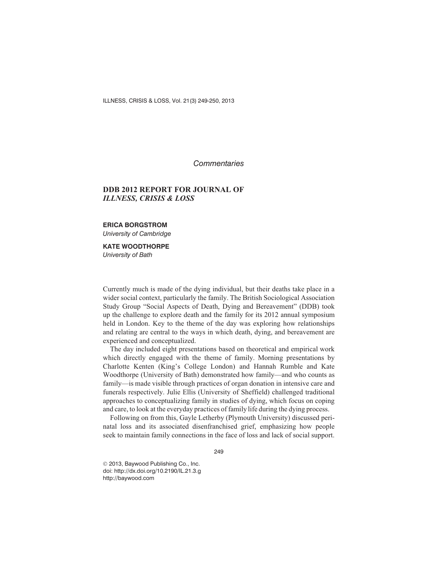ILLNESS, CRISIS & LOSS, Vol. 21(3) 249-250, 2013

*Commentaries*

## **DDB 2012 REPORT FOR JOURNAL OF** *ILLNESS, CRISIS & LOSS*

**ERICA BORGSTROM** *University of Cambridge*

**KATE WOODTHORPE** *University of Bath*

Currently much is made of the dying individual, but their deaths take place in a wider social context, particularly the family. The British Sociological Association Study Group "Social Aspects of Death, Dying and Bereavement" (DDB) took up the challenge to explore death and the family for its 2012 annual symposium held in London. Key to the theme of the day was exploring how relationships and relating are central to the ways in which death, dying, and bereavement are experienced and conceptualized.

The day included eight presentations based on theoretical and empirical work which directly engaged with the theme of family. Morning presentations by Charlotte Kenten (King's College London) and Hannah Rumble and Kate Woodthorpe (University of Bath) demonstrated how family—and who counts as family—is made visible through practices of organ donation in intensive care and funerals respectively. Julie Ellis (University of Sheffield) challenged traditional approaches to conceptualizing family in studies of dying, which focus on coping and care, to look at the everyday practices of family life during the dying process.

Following on from this, Gayle Letherby (Plymouth University) discussed perinatal loss and its associated disenfranchised grief, emphasizing how people seek to maintain family connections in the face of loss and lack of social support.

249

 $©$  2013, Baywood Publishing Co., Inc. doi: http://dx.doi.org/10.2190/IL.21.3.g http://baywood.com